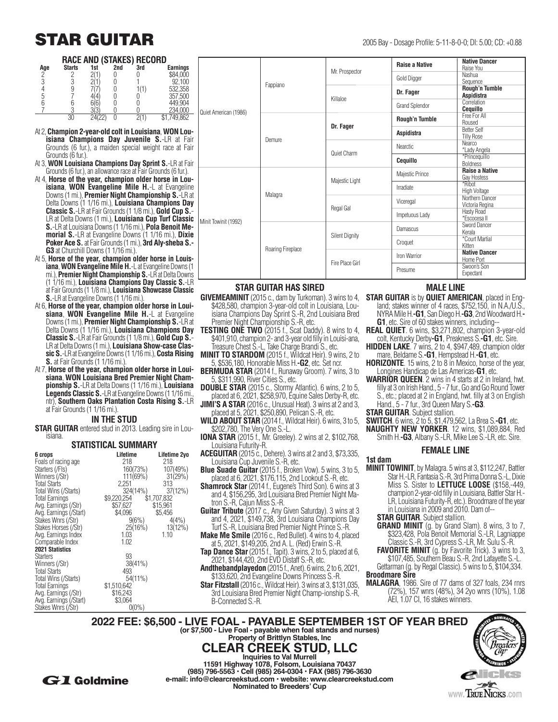## **STAR GUITAR** 2005 Bay - Dosage Profile: 5-11-8-0-0; DI: 5.00; CD: +0.88

**RACE AND (STAKES) RECORD** 

| ו טווחוטו שומות ומשתו<br>. |               |     |     |     |                 |  |  |  |
|----------------------------|---------------|-----|-----|-----|-----------------|--|--|--|
| Age                        | <b>Starts</b> | 1st | 2nd | 3rd | <b>Earnings</b> |  |  |  |
| C                          |               |     |     |     | \$84,000        |  |  |  |
|                            |               |     |     |     | 92.100          |  |  |  |
|                            |               |     |     |     | 532,358         |  |  |  |
|                            |               |     |     |     | 357,500         |  |  |  |
|                            |               |     |     |     | 449.904         |  |  |  |
|                            |               |     |     |     | 234,000         |  |  |  |
|                            |               |     |     |     | 49,862          |  |  |  |

- At 2, **Champion 2-year-old colt in Louisiana**, **WON Louisiana Champions Day Juvenile S.**-LR at Fair Grounds (6 fur.), a maiden special weight race at Fair Grounds (6 fur.).
- At 3, **WON Louisiana Champions Day Sprint S.**-LR at Fair Grounds (6 fur.), an allowance race at Fair Grounds (6 fur.).
- At 4, **Horse of the year, champion older horse in Louisiana**, **WON Evangeline Mile H.**-L at Evangeline Downs (1 mi.), **Premier Night Championship S.**-LR at Delta Downs (1 1/16 mi.), **Louisiana Champions Day Classic S.**-LR at Fair Grounds (1 1/8 mi.), **Gold Cup S.**- LR at Delta Downs (1 mi.), **Louisiana Cup Turf Classic S.**-LR at Louisiana Downs (1 1/16 mi.), **Pola Benoit Memorial S.**-LR at Evangeline Downs (1 1/16 mi.), **Dixie Poker Ace S.** at Fair Grounds (1 mi.), **3rd Aly-sheba S.- G3** at Churchill Downs (1 1/16 mi.).
- At 5, **Horse of the year, champion older horse in Louisiana**, **WON Evangeline Mile H.**-L at Evangeline Downs (1 mi.), **Premier Night Championship S.**-LR at Delta Downs (1 1/16 mi.), **Louisiana Champions Day Classic S.**-LR at Fair Grounds (1 1/8 mi.), **Louisiana Showcase Classic S.**-LR at Evangeline Downs (1 1/16 mi.).
- At 6, **Horse of the year, champion older horse in Louisiana**, **WON Evangeline Mile H.**-L at Evangeline Downs (1 mi.), **Premier Night Championship S.**-LR at Delta Downs (1 1/16 mi.), **Louisiana Champions Day Classic S.**-LR at Fair Grounds (1 1/8 mi.), **Gold Cup S.**- LR at Delta Downs (1 mi.), **Louisiana Show-case Classic S.**-LR at Evangeline Downs (1 1/16 mi.), **Costa Rising S.** at Fair Grounds (1 1/16 mi.)
- At 7, **Horse of the year, champion older horse in Louisiana**, **WON Louisiana Bred Premier Night Championship S.**-LR at Delta Downs (1 1/16 mi.), **Louisiana Legends Classic S.**-LR at Evangeline Downs (1 1/16 mi., ntr), **Southern Oaks Plantation Costa Rising S.**-LR at Fair Grounds (1 1/16 mi.).

#### **IN THE STUD**

**STAR GUITAR** entered stud in 2013. Leading sire in Lou-<br>isiana.

#### **STATISTICAL SUMMARY**

| 6 crops                | Lifetime                | Lifetime 2yo |
|------------------------|-------------------------|--------------|
| Foals of racing age    | 218                     | 218          |
| Starters (/Fls)        | 160(73%)                | 107(49%)     |
| Winners (/Str)         | 111(69%)                | 31(29%)      |
| <b>Total Starts</b>    | 2.251                   | 313          |
| Total Wins (/Starts)   | 324(14%)                | 37(12%)      |
|                        |                         |              |
| <b>Total Earnings</b>  | \$9,220,254 \$1,707,832 |              |
| Avg. Earnings (/Str)   | \$57,627                | \$15,961     |
| Avg. Earnings (/Start) | \$4,096                 | \$5,456      |
| Stakes Wnrs (/Str)     | 9(6%)                   | 4(4%)        |
| Stakes Horses (/Str)   | 25(16%)                 | 13(12%)      |
| Avg. Earnings Index    | 1.03                    | 1.10         |
| Comparable Index       | 1.02                    |              |
| <b>2021 Statistics</b> |                         |              |
| <b>Starters</b>        | 93                      |              |
| Winners (/Str)         | $38(41\%)$              |              |
| <b>Total Starts</b>    | 493                     |              |
| Total Wins (/Starts)   | 54(11%)                 |              |
| <b>Total Earnings</b>  | \$1,510,642             |              |
| Avg. Earnings (/Str)   | \$16,243                |              |
| Avg. Earnings (/Start) | \$3,064                 |              |
|                        | $0(0\%)$                |              |
| Stakes Wnrs (/Str)     |                         |              |

|                       |                                    |                       | <b>Raise a Native</b> | <b>Native Dancer</b>             |
|-----------------------|------------------------------------|-----------------------|-----------------------|----------------------------------|
|                       | Fappiano                           | Mr. Prospector        |                       | Raise You                        |
|                       |                                    |                       | Gold Digger           | Nashua                           |
|                       |                                    |                       |                       | Sequence                         |
|                       |                                    | Killaloe              | Dr. Fager             | Rough'n Tumble                   |
|                       |                                    |                       |                       | <b>Aspidistra</b>                |
|                       |                                    |                       | <b>Grand Splendor</b> | Correlation                      |
| Quiet American (1986) |                                    |                       |                       | Cequillo                         |
|                       | Dr. Fager<br>Demure<br>Quiet Charm | Rough'n Tumble        | Free For All          |                                  |
|                       |                                    |                       |                       | Roused                           |
|                       |                                    |                       | Aspidistra            | <b>Better Self</b>               |
|                       |                                    |                       |                       | <b>Tilly Rose</b>                |
|                       |                                    |                       | <b>Nearctic</b>       | Nearco                           |
|                       |                                    |                       |                       | *Lady Angela                     |
|                       |                                    |                       | Cequillo              | *Princequillo<br><b>Boldness</b> |
|                       |                                    |                       |                       | <b>Raise a Native</b>            |
|                       |                                    | Majestic Light        | Majestic Prince       | Gay Hostess                      |
|                       | Malagra                            |                       |                       | *Ribot                           |
|                       |                                    |                       | Irradiate             | High Voltage                     |
|                       |                                    | Regal Gal             |                       | Northern Dancer                  |
|                       |                                    |                       | Viceregal             | Victoria Regina                  |
|                       |                                    |                       |                       | Hasty Road                       |
|                       |                                    |                       | Impetuous Lady        | *Escocesa II                     |
| Minit Towinit (1992)  | Roaring Fireplace                  | <b>Silent Dignity</b> |                       | Sword Dancer                     |
|                       |                                    |                       | Damascus              | Kerala                           |
|                       |                                    |                       |                       | *Court Martial                   |
|                       |                                    |                       | Croquet               | Kitten                           |
|                       |                                    | Fire Place Girl       |                       | <b>Native Dancer</b>             |
|                       |                                    |                       | Iron Warrior          | Home Port                        |
|                       |                                    |                       |                       | Swoon's Son                      |
|                       |                                    |                       | Presume               | Expectant                        |

#### **STAR GUITAR HAS SIRED**

- **GIVEMEAMINIT** (2015 c., dam by Turkoman). 3 wins to 4, **STAR GUITAR** is by **QUIET AMERICAN**, placed in Eng-\$428,580, champion 3-year-old colt in Louisiana, Louisiana Champions Day Sprint S.-R, 2nd Louisiana Bred Premier Night Championship S.-R, etc.
- **TESTING ONE TWO** (2015 f., Scat Daddy). 8 wins to 4, \$401,910, champion 2- and 3-year old filly in Louisi-ana, Treasure Chest S.-L, Take Charge Brandi S., etc.
- **MINIT TO STARDOM** (2015 f., Wildcat Heir). 9 wins, 2 to 5, \$536,180, Honorable Miss H.**-G2**, etc. Set ncr.
- **BERMUDA STAR** (2014 f., Runaway Groom). 7 wins, 3 to 5, \$311,990, River Cities S., etc.
- **DOUBLE STAR** (2015 c., Stormy Atlantic). 6 wins, 2 to 5, placed at 6, 2021, \$258,970, Equine Sales Derby-R, etc.
- **JIMI'S A STAR** (2016 c., Unusual Heat). 3 wins at 2 and 3, placed at 5, 2021, \$250,890, Pelican S.-R, etc.
- **WILD ABOUT STAR** (2014 f., Wildcat Heir). 6 wins, 3 to 5, \$202,780, The Very One S.-L.
- **IONA STAR** (2015 f., Mr. Greeley). 2 wins at 2, \$102,768, Louisiana Futurity-R.
- **ACEGUITAR** (2015 c., Dehere). 3 wins at 2 and 3, \$73,335, Louisiana Cup Juvenile S.-R, etc.
- **Blue Suade Guitar** (2015 f., Broken Vow). 5 wins, 3 to 5, placed at 6, 2021, \$176,115, 2nd Lookout S.-R, etc.
- **Shamrock Star** (2014 f., Eugene's Third Son). 6 wins at 3 and 4, \$156,295, 3rd Louisiana Bred Premier Night Ma- tron S.-R, Cajun Miss S.-R.
- **Guitar Tribute** (2017 c., Any Given Saturday). 3 wins at 3 and 4, 2021, \$149,738, 3rd Louisiana Champions Day Turf S.-R, Louisiana Bred Premier Night Prince S.-R.
- **Make Me Smile** (2016 c., Red Bullet). 4 wins to 4, placed at 5, 2021, \$149,205, 2nd A. L. (Red) Erwin S.-R.
- **Tap Dance Star** (2015 f., Tapit). 3 wins, 2 to 5, placed at 6, 2021, \$144,420, 2nd EVD Distaff S.-R, etc.
- **Andthebandplayedon** (2015 f., Anet). 6 wins, 2 to 6, 2021, \$133,620, 2nd Evangeline Downs Princess S.-R.
- **Star Fitzstall** (2016 c., Wildcat Heir). 3 wins at 3, \$131,035, 3rd Louisiana Bred Premier Night Champ-ionship S.-R, B-Connected S.-R.

#### **MALE LINE**

- land; stakes winner of 4 races, \$752,150, in N.A./U.S., NYRA Mile H.**-G1**, San Diego H.**-G3**, 2nd Woodward H.**- G1**, etc. Sire of 60 stakes winners, including--
- **REAL QUIET**. 6 wins, \$3,271,802, champion 3-year-old colt, Kentucky Derby**-G1**, Preakness S.**-G1**, etc. Sire.
- **HIDDEN LAKE**. 7 wins, 2 to 4, \$947,489, champion older mare, Beldame S.**-G1**, Hempstead H.**-G1**, etc.
- **HORIZONTE**. 15 wins, 2 to 8 in Mexico, horse of the year, Longines Handicap de Las Americas-**G1**, etc.
- **WARRIOR QUEEN**. 2 wins in 4 starts at 2 in Ireland, hwt. filly at 3 on Irish Hand., 5 - 7 fur., Go and Go Round Tower S., etc.; placed at 2 in England, hwt. filly at 3 on English Hand., 5 - 7 fur., 3rd Queen Mary S.**-G3**.
- **STAR GUITAR**. Subject stallion.
- **SWITCH**. 6 wins, 2 to 5, \$1,479,562, La Brea S.**-G1**, etc.
- **NAUGHTY NEW YORKER**. 12 wins, \$1,089,884, Red Smith H.**-G3**, Albany S.-LR, Mike Lee S.-LR, etc. Sire.

#### **FEMALE LINE**

- **1st dam MINIT TOWINIT**, by Malagra. 5 wins at 3, \$112,247, Battler Star H.-LR, Fantasia S.-R, 3rd Prima Donna S.-L, Dixie Miss S. Sister to **LETTUCE LOOSE** (\$158,-449, champion 2-year-old filly in Louisiana, Battler Star H.- LR, Louisiana Futurity-R, etc.). Broodmare of the year in Louisiana in 2009 and 2010. Dam of--
	- **STAR GUITAR**. Subject stallion.
	- **GRAND MINIT** (g. by Grand Slam). 8 wins, 3 to 7, \$323,428, Pola Benoit Memorial S.-LR, Lagniappe Classic S.-R, 3rd Cypress S.-LR, Mr. Sulu S.-R.
	- **FAVORITE MINIT** (g. by Favorite Trick). 3 wins to 3, \$107,485, Southern Beau S.-R, 2nd Lafayette S.-L. Gettarman (g. by Regal Classic). 5 wins to 5, \$104,334.

#### **Broodmare Sire**

**MALAGRA**, 1986. Sire of 77 dams of 327 foals, 234 rnrs (72%), 157 wnrs (48%), 34 2yo wnrs (10%), 1.08 AEI, 1.07 CI, 16 stakes winners.

**2022 FEE: \$6,500 - LIVE FOAL - PAYABLE SEPTEMBER 1ST OF YEAR BRED (or \$7,500 - Live Foal - payable when foal stands and nurses)** (or \$7,500 - Live Foal - payable when foal stands and nurses)<br>Property of Brittlyn Stables, Inc



**CLEAR CREEK STUD, LLC Inquiries to Val Murrell 11591 Highway 1078, Folsom, Louisiana 70437 (985) 796-5563 • Cell (985) 264-0304 • FAX (985) 796-3630 G1 Goldmine**<br>**e-mail:** info@clearcreekstud.com • website: www.clearcreekstud.com<br>Nominated to Breeders' Cup